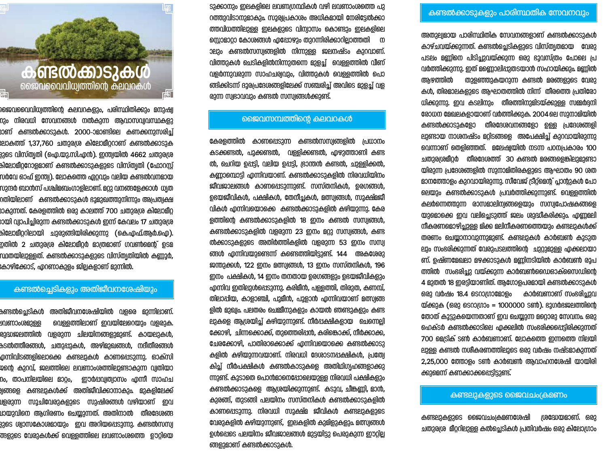

ജൈവവൈവിധ്വത്തിന്റെ കലവറകളും, പരിസ്ഥിതിക്കും മനുഷ്വ ന്ദും നിരവധി സേവനങ്ങൾ നൽകുന്ന ആവാസവ്വവസ്ഥകളു രാണ് കണ്ടൽക്കാടുകൾ. 2000-ാമാണ്ടിലെ കണക്കനുസരിച്ച് ഃലാകത്ത് 1,37,760 ചതുരശ്ര കിലോമീറ്ററാണ് കണ്ടൽക്കാടുക 3396 വിസ്ത്യതി (ഐ.യു.സി.എൻ). ഇന്ത്വയിൽ 4662 ചതുരശ്ര കിലോമീറ്ററോളമാണ് കണ്ടൽക്കാടുകളുടെ വിസ്ത്യതി (ഫോറസ്റ്റ് സർവേ ഓഫ് ഇന്ത്വ). ലോകത്തെ ഏറ്റവും വലിയ കണ്ടൽവനമായ സുന്ദർ ബാൻസ് പശ്ചിമബംഗാളിലാണ്. മറ്റു വനങ്ങളേക്കാൾ ധ്യത റതിയിലാണ് കണ്ടൽക്കാടുകൾ ഭാമുഖത്തുനിന്നും അപ്രത്വക്ഷ രാകുന്നത്. കേരളത്തിൽ ഒരു കാലത്ത് 700 ചതുരശ്ര കിലോമീറ്റ ായി വ്യാപിച്ചിരുന്ന കണ്ടൽക്കാടുകൾ ഇന്ന് കേവലം 17 ചതുരശ്ര കിലോമീററിലായി ചുരുങ്ങിയിരിക്കുന്നു (കെ.എഫ്.ആർ.ഐ). ഇതിൽ 2 ചതുരശ്ര കിലോമീറ്റർ മാത്രമാണ് ഗവൺമെന്റ് ഉടമ സ്ഥതയിലുള്ളത്. കണ്ടത്സക്കാടുകളുടെ വിസ്ത്യതിയിൽ കണ്ണൂർ, കോഴിക്കോട്. എറണാകുളം ജിലകളാണ് മുന്നിൽ.

# കണ്ടൽചെടികളും അതിജീവനശേഷിയും

കണ്ടൽച്ചെടികൾ അതിജീവനശേഷിയിൽ വളരെ മുന്നിലാണ്. വെള്ളത്തിലാണ് ഇവയിലേറെയും വളരുക. <u>u</u>വണാംശമുള്ള രുദ്ധജലത്തിൽ വളരുന്ന ചിലയിനങ്ങളുമുണ്ട്. കായലുകൾ, കടൽത്തീരങ്ങൾ, ചതുപ്പുകൾ, അഴിമുഖങ്ങൾ, നദീതീരങ്ങൾ <u>മന്നിവിടങ്ങളിലൊക്കെ കണ്ടലുകൾ കാണപ്പെടുന്നു. ഓക്സി</u> ജന്റെ കുറവ്, ജലത്തിലെ ലവണാംശത്തിലുണ്ടാകുന്ന വ്വതിയാ nം, താപനിലയിലെ മാറ്റം, ഇാർപ്പവ്വത്വാസം എന്നീ സാഹച .<br>ഉത്തളെ കണ്ടലുകൾക്ക് അതിജീവിക്കാനാകും. മുകളിലേക്ക് <u>വളരുന്ന സൂചിവേരുകളുടെ സുഷിരങ്ങൾ വഴിയാണ് ഇവ</u> <u>്ധായുവിനെ ആഗിരണം ചെയ്യുന്നത്. അതിനാൽ തീരദേശങ്ങ</u> ളുടെ ശ്വാസകോശമായും ഇവ അറിയപ്പെടുന്നു. കണ്ടൽസസ്വ .<br>അളുടെ വേരുകൾക്ക് വെള്ളത്തിലെ ലവണാംശത്തെ ഊറ്റിയെ

ടുക്കാനും ഇലകളിലെ ലവണഗ്രന്ഥികൾ വഴി ലവണാംശത്തെ പു റത്തുവിടാനുമാകും. സൂര്വപ്രകാശം അധികമായി നേരിട്ടേൽക്കാ ത്തവിധത്തിലുള്ള ഇലകളുടെ വിന്വാസം കൊണ്ടും ഇലകളിലെ സ്റ്റൊമാറ്റാ കോശങ്ങൾ എപ്പോഴും തുറന്നിരിക്കാറില്ലാത്തതി ന ാലും കണ്ടൽസസ്വങ്ങളിൽ നിന്നുള്ള ജലനഷ്ടം കുറവാണ്. വിത്തുകൾ ചെടികളിൽനിന്നുതന്നെ മുളച്ച് വെള്ളത്തിൽ വീണ് വളർന്നുവരുന്ന സാഹചര്യവും, വിത്തുകൾ വെള്ളത്തിൽ പൊ ത്ങിക്കിടന്ന് ദുരപ്രദേശങ്ങളിലേക്ക് സഞ്ചരിച്ച് അവിടെ മുളച്ച് വള രുന്ന സ്വഭാവവും കണ്ടൽ സസ്വങ്ങൾക്കുണ്ട്.

## ജൈവസമ്പത്തിനെ കലവറകൾ

കേരളത്തിൽ കാണപ്പെടുന്ന കണ്ടൽസസ്വങ്ങളിൽ പ്രധാനം കടക്കണ്ടൽ, പുക്കണ്ടൽ, വള്ളിക്കണ്ടൽ, എഴുത്താണി കണ്ട ൽ, ചെറിയ ഉപ്പട്ടി, വലിയ ഉപ്പട്ടി, ഭ്രാന്തൻ കണ്ടൽ, ചുള്ളിക്കൽ, കണ്ണാമ്പൊട്ടി എന്നിവയാണ്. കണ്ടൽക്കാടുകളിൽ നിരവധിയിനം ജീവജാലങ്ങൾ കാണപ്പെടുന്നുണ്ട്. സസ്തനികൾ, ഉരഗങ്ങൾ, ഉദയജീവികൾ, പക്ഷികൾ, തേനീച്ചകൾ, മത്സ്വങ്ങൾ, സൂക്ഷ്മജീ വികൾ എന്നിവയൊക്കെ കണ്ടൽക്കാടുകളിൽ കഴിയുന്നു. കേര ളത്തിന്റെ കണ്ടൽക്കാടുകളിൽ 18 ഇനം കണ്ടൽ സസ്വങ്ങൾ, കണ്ടൽക്കാടുകളിൽ വളരുന്ന 23 ഇനം മറ്റു സസ്വങ്ങൾ, കണ്ട ൽക്കാടുകളുടെ അതിർത്തികളിൽ വളരുന്ന 53 ഇനം സസ്വ ങ്ങൾ എന്നിവയുണ്ടെന്ന് കണ്ടെത്തിയിട്ടുണ്ട്. 144 അകശേരു ജന്തുക്കൾ, 122 ഇനം മത്സ്വങ്ങൾ, 13 ഇനം സസ്തനികൾ, 196 ഇനം പക്ഷികൾ, 14 ഇനം തനതായ ഉരഗങ്ങളും ഉഭയജീവികളും എന്നിവ ഇതിലുൾപ്പെടുന്നു. കരിമീൻ, പള്ളത്തി, തിരുത, കണമ്പ്, തിലാപ്പിയ, കാളാഞ്ചി, പുമീൻ, പുളാൻ എന്നിവയാണ് മത്സ്വങ്ങ ളിൽ മുഖ്വം. പലതരം ചെഞ്ചീനുകളും കായൽ ഞണ്ടുകളും കണ്ട ലുകളെ ആശ്രയിച്ച് കഴിയുന്നുണ്ട്. നീർപ്പക്ഷികളായ ചെന്നെല്ലി ക്കോഴി, ചിന്നക്കൊക്ക്, തുത്തെരിപ്പൻ, കരിങ്കൊക്ക്, നീർക്കാക്ക, ചേരക്കോഴി, പാതിരാക്കൊക്ക് എന്നിവയൊക്കെ കണ്ടൽക്കാടു കളിൽ കഴിയുന്നവയാണ്. നിരവധി ദേശാടനപ്പക്ഷികൾ, പ്രത്വേ കിച്ച് നീർപക്ഷികൾ കണ്ടൽകാടുകളെ അതിഥിഗൃഹങ്ങളാക്കു ന്നുണ്ട്. കൂടാതെ പൊൻമാനെപ്പോലെയുള്ള നിരവധി പക്ഷികളും കണ്ടൽക്കാടുകളെ ആശ്രയിക്കുന്നുണ്ട്. കടുവ, ചീങ്കണ്ണി, മാൻ, കുരങ്ങ്, തുടങ്ങി പലയിനം സസ്തനികൾ കണ്ടൽക്കാടുകളിൽ കാണപ്പെടുന്നു. നിരവധി സുക്ഷ്മ ജീവികൾ കണ്ടലുകളുടെ വേരുകളിൽ കഴിയുന്നുണ്ട്, ഇലകളിൽ കുമിളുകളും മത്സ്വങ്ങൾ ഉൾപ്പെടെ പലയിനം ജീവജാലങ്ങൾ മുട്ടയിട്ടു പെരുകുന്ന ഈറ്റില്ല ങ്ങളുമാണ് കണ്ടൽക്കാടുകൾ.

## കണ്ടൽക്കാടുകളും പാരിസ്ഥതിക സേവനവും

അതുല്വമായ പാരിസ്ഥിതിക സേവനങ്ങളാണ് കണ്ടൽക്കാടുകൾ കാഴ്ചവയ്ക്കുന്നത്. കണ്ടൽച്ചെടികളുടെ വിസ്ത്യതമായ വേരു പടലം മണ്ണിനെ പിടിച്ചുവയ്ക്കുന്ന ഒരു ഭൂവസ്ത്രം പോലെ പ്ര വർത്തിക്കുന്നു. ഇത് മണ്ണൊലിപ്പുതടയാൻ സഹായിക്കും. മണ്ണിൽ അഴത്തിൽ തുളഞ്ഞുകയറുന്ന കണ്ടൽ മരങ്ങളുടെ വേരു കൾ, തിരമാലകളുടെ ആഘാതത്തിൽ നിന്ന് തീരത്തെ പ്രതിരോ ധിക്കുന്നു. ഇവ കടലിനും തീരത്തിനുമിടയ്ക്കുള്ള സമ്മർദ്ദനി രോധന മേഖലകളായാണ് വർത്തിക്കുക. 2004 ലെ സുനാമിയിൽ കണ്ടൽക്കാടുകളോ തീരദേശവനങ്ങളോ ഉള്ള പ്രദേശങ്ങളി ലുണ്ടായ നാശനഷ്ടം മറ്റിടങ്ങളെ അപേക്ഷിച്ച് കുറവായിരുന്നു രവന്നാണ് തെളിഞ്ഞത്. മലേഷ്വയിൽ നടന്ന പഠനപ്രകാരം 100 ചതുരശ്രമീറ്റർ തീരദേശത്ത് 30 കണ്ടൽ മരങ്ങളെങ്കിലുമുണ്ടാ യിരുന്ന പ്രദേശങ്ങളിൽ സുനാമിതിരകളുടെ ആഘാതം 90 ശത മാനത്തോളം കുറവായിരുന്നു. സീവേജ് ട്രീറ്റ്മെന്റ് പ്ലാന്റുകൾ പോ ലെയും കണ്ടൽക്കാടുകൾ പ്രവർത്തിക്കുന്നുണ്ട്. വെള്ളത്തിൽ കലർന്നെത്തുന്ന രാസമാലിന്വങ്ങളെയും സസ്വപോഷകങ്ങളെ യുമൊക്കെ ഇവ വലിച്ചെടുത്ത് ജലം ശുദ്ധീകരിക്കും. എണ്ണമലി നീകരണമൊഴിച്ചുള്ള മിക്ക മലിനീകരണത്തെയും കണ്ടലുകൾക്ക് തരണം ചെയ്യാനാവുന്നുമുണ്ട്. കണ്ടലുകൾ കാർബൺ കുടുത ലും സംഭരിക്കുന്നത് വേരുപടലത്തിന്റെ ചുറ്റുമുള്ള എക്കലായാ ണ്. ഉഷ്ണമേഖലാ മഴക്കാടുകൾ മണ്ണിനടിയിൽ കാർബൺ രൂപ ത്തിൽ സംഭരിച്ചു വയ്ക്കുന്ന കാർബൺഡൈഓക്സൈഡിന്റെ 4 മുതൽ 18 ഇരട്ടിയാണിത്. ആഗോളപരമായി കണ്ടൽക്കാടുകൾ ഒരു വർഷം 18.4 ടെറാഗ്രാമോളം കാർബണാണ് സംഭരിച്ചുവ യ്ക്കുക (ഒരു ടെറാഗ്രാം = 1000000 ടൺ). ഭൂഗർഭജലത്തിന്റെ തോത് കൂട്ടുകയെന്നതാണ് ഇവ ചെയ്യുന്ന മറ്റൊരു സേവനം. ഒരു മെക്ടർ കണ്ടൽക്കാടിലെ എക്കലിൽ സംഭരിക്കപ്പെട്ടിരിക്കുന്നത് 700 മെട്രിക് ടൺ കാർബണാണ്. ലോകത്തെ ഇന്നത്തെ നിലയി ലുള്ള കണ്ടൽ നശീകരണത്തിലൂടെ ഒരു വർഷം നഷ്ടമാകുന്നത് 2,25,000 ത്തോളം ടൺ കാർബൺ ആവാഹനശേഷി യായിരി ക്കുമെന്ന് കണക്കാക്കപ്പെട്ടിട്ടുണ്ട്.

#### കണ്ടലുകളുടെ ജൈവചം(കമണം

കണ്ടലുകളുടെ ജൈവചംക്രമണശേഷി ശ്രദ്ധേയമാണ്. ഒരു ചതുരശ്ര മീറ്ററിലുള്ള കൽച്ചെടികൾ പ്രതിവർഷം ഒരു കിലോഗ്രാം